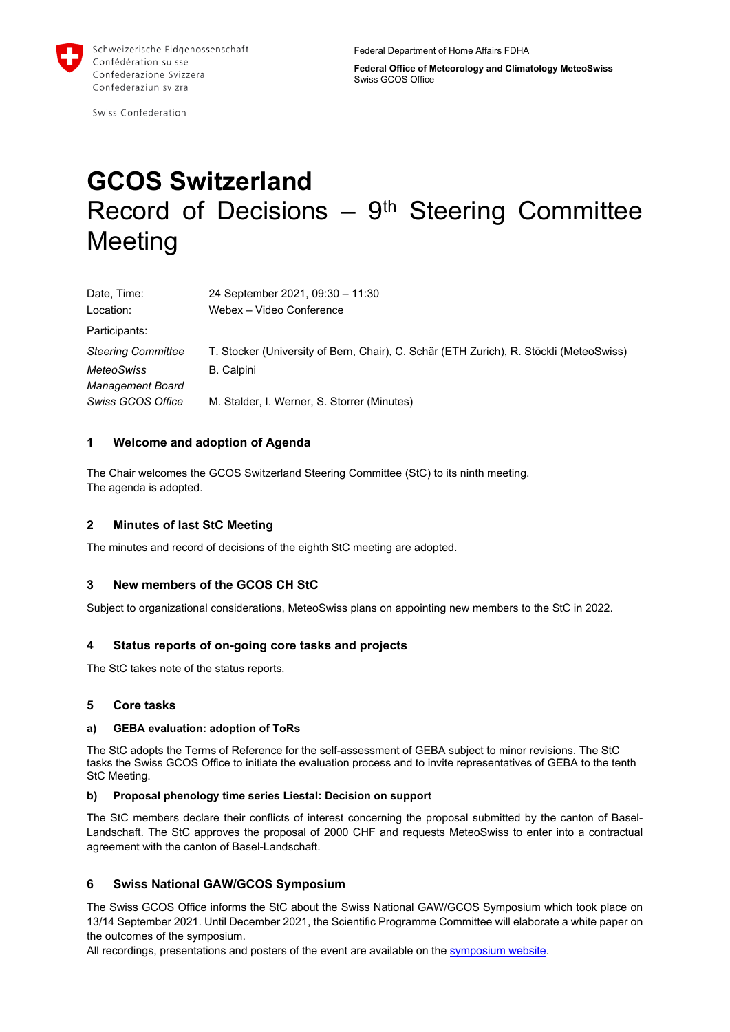

Swiss Confederation

**Federal Office of Meteorology and Climatology MeteoSwiss** Swiss GCOS Office

# **GCOS Switzerland** Record of Decisions  $-9<sup>th</sup>$  Steering Committee **Meeting**

| Date, Time:               | 24 September 2021, 09:30 - 11:30                                                       |
|---------------------------|----------------------------------------------------------------------------------------|
| Location:                 | Webex - Video Conference                                                               |
| Participants:             |                                                                                        |
| <b>Steering Committee</b> | T. Stocker (University of Bern, Chair), C. Schär (ETH Zurich), R. Stöckli (MeteoSwiss) |
| <b>MeteoSwiss</b>         | B. Calpini                                                                             |
| <b>Management Board</b>   |                                                                                        |
| Swiss GCOS Office         | M. Stalder, I. Werner, S. Storrer (Minutes)                                            |

### **1 Welcome and adoption of Agenda**

The Chair welcomes the GCOS Switzerland Steering Committee (StC) to its ninth meeting. The agenda is adopted.

# **2 Minutes of last StC Meeting**

The minutes and record of decisions of the eighth StC meeting are adopted.

# **3 New members of the GCOS CH StC**

Subject to organizational considerations, MeteoSwiss plans on appointing new members to the StC in 2022.

#### **4 Status reports of on-going core tasks and projects**

The StC takes note of the status reports*.*

#### **5 Core tasks**

#### **a) GEBA evaluation: adoption of ToRs**

The StC adopts the Terms of Reference for the self-assessment of GEBA subject to minor revisions. The StC tasks the Swiss GCOS Office to initiate the evaluation process and to invite representatives of GEBA to the tenth StC Meeting.

#### **b) Proposal phenology time series Liestal: Decision on support**

The StC members declare their conflicts of interest concerning the proposal submitted by the canton of Basel-Landschaft. The StC approves the proposal of 2000 CHF and requests MeteoSwiss to enter into a contractual agreement with the canton of Basel-Landschaft.

#### **6 Swiss National GAW/GCOS Symposium**

The Swiss GCOS Office informs the StC about the Swiss National GAW/GCOS Symposium which took place on 13/14 September 2021. Until December 2021, the Scientific Programme Committee will elaborate a white paper on the outcomes of the symposium.

All recordings, presentations and posters of the event are available on the [symposium website.](https://www.meteoschweiz.admin.ch/home/forschung-und-zusammenarbeit/internationale-zusammenarbeit/gcos/swiss-national-gaw-gcos-symposium-september-13-to-14th-2021.html)